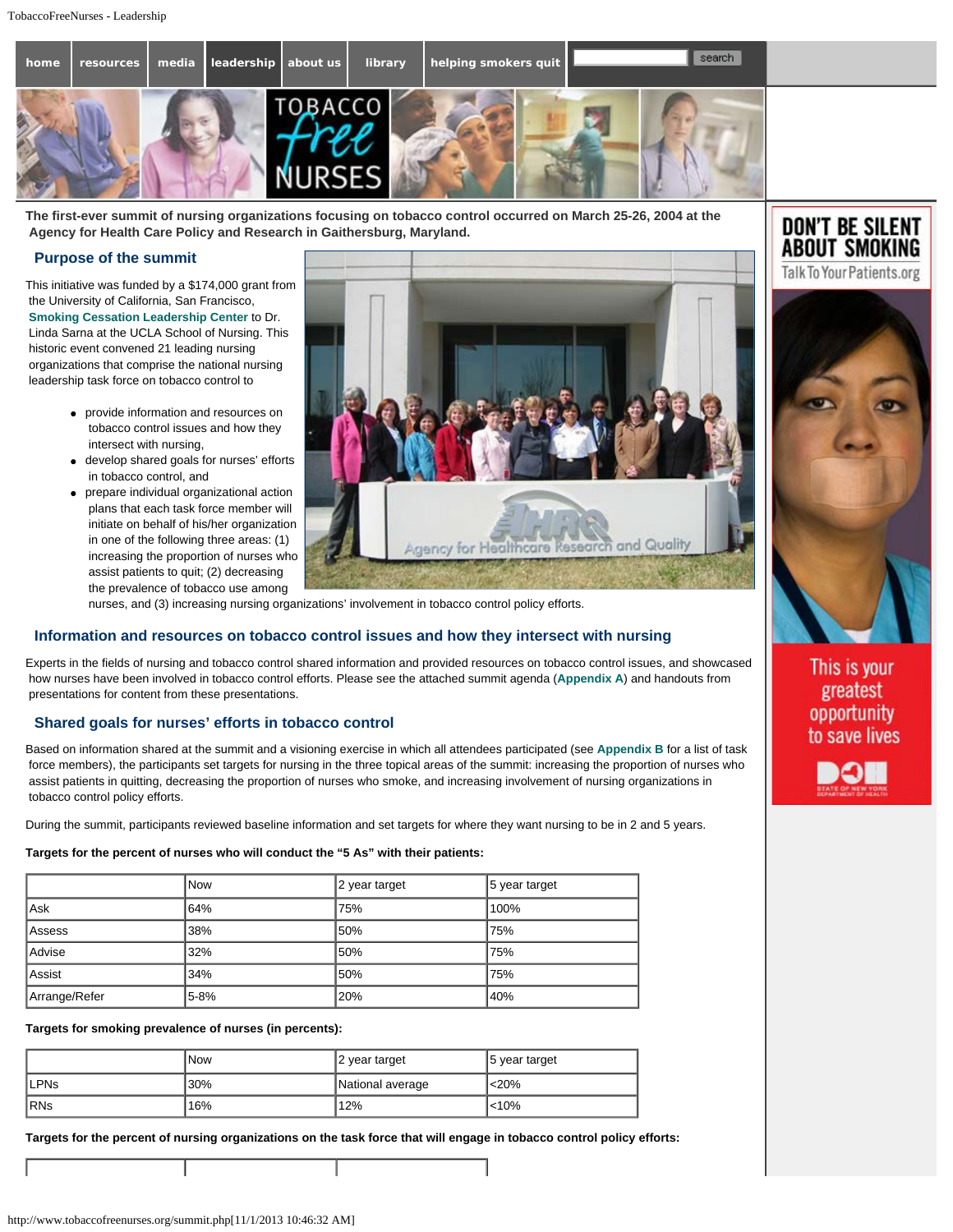

**The first-ever summit of nursing organizations focusing on tobacco control occurred on March 25-26, 2004 at the Agency for Health Care Policy and Research in Gaithersburg, Maryland.**

### **Purpose of the summit**

This initiative was funded by a \$174,000 grant from the University of California, San Francisco, **Smoking Cessation Leadership Center** to Dr. Linda Sarna at the UCLA School of Nursing. This historic event convened 21 leading nursing organizations that comprise the national nursing leadership task force on tobacco control to

- provide information and resources on tobacco control issues and how they intersect with nursing,
- develop shared goals for nurses' efforts in tobacco control, and
- prepare individual organizational action plans that each task force member will initiate on behalf of his/her organization in one of the following three areas: (1) increasing the proportion of nurses who assist patients to quit; (2) decreasing the prevalence of tobacco use among



nurses, and (3) increasing nursing organizations' involvement in tobacco control policy efforts.

## **Information and resources on tobacco control issues and how they intersect with nursing**

Experts in the fields of nursing and tobacco control shared information and provided resources on tobacco control issues, and showcased how nurses have been involved in tobacco control efforts. Please see the attached summit agenda (**Appendix A**) and handouts from presentations for content from these presentations.

# **Shared goals for nurses' efforts in tobacco control**

Based on information shared at the summit and a visioning exercise in which all attendees participated (see **Appendix B** for a list of task force members), the participants set targets for nursing in the three topical areas of the summit: increasing the proportion of nurses who assist patients in quitting, decreasing the proportion of nurses who smoke, and increasing involvement of nursing organizations in tobacco control policy efforts.

During the summit, participants reviewed baseline information and set targets for where they want nursing to be in 2 and 5 years.

#### **Targets for the percent of nurses who will conduct the "5 As" with their patients:**

|               | <b>Now</b> | 2 year target | 5 year target |
|---------------|------------|---------------|---------------|
| Ask           | 64%        | 75%           | 100%          |
| Assess        | 38%        | 50%           | 75%           |
| Advise        | '32%       | 50%           | 75%           |
| Assist        | 34%        | 50%           | 75%           |
| Arrange/Refer | 5-8%       | l20%          | 40%           |

#### **Targets for smoking prevalence of nurses (in percents):**

|              | <b>Now</b> | 2 year target    | 5 year target |
|--------------|------------|------------------|---------------|
| <b>ILPNs</b> | 30%        | National average | < 20%         |
| <b>IRNs</b>  | 16%        | 12%              | < 10%         |

**Targets for the percent of nursing organizations on the task force that will engage in tobacco control policy efforts:**



**DON'T BE SILENT ABOUT SMOKING** 

> This is your greatest opportunity to save lives